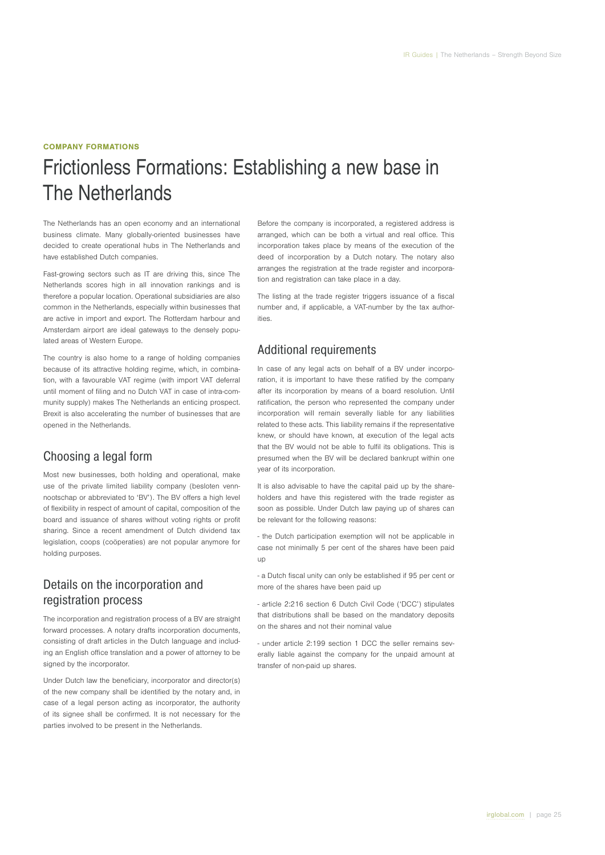#### COMPANY FORMATIONS

# Frictionless Formations: Establishing a new base in The Netherlands

The Netherlands has an open economy and an international business climate. Many globally-oriented businesses have decided to create operational hubs in The Netherlands and have established Dutch companies.

Fast-growing sectors such as IT are driving this, since The Netherlands scores high in all innovation rankings and is therefore a popular location. Operational subsidiaries are also common in the Netherlands, especially within businesses that are active in import and export. The Rotterdam harbour and Amsterdam airport are ideal gateways to the densely populated areas of Western Europe.

The country is also home to a range of holding companies because of its attractive holding regime, which, in combination, with a favourable VAT regime (with import VAT deferral until moment of filing and no Dutch VAT in case of intra-community supply) makes The Netherlands an enticing prospect. Brexit is also accelerating the number of businesses that are opened in the Netherlands.

### Choosing a legal form

Most new businesses, both holding and operational, make use of the private limited liability company (besloten vennnootschap or abbreviated to 'BV'). The BV offers a high level of flexibility in respect of amount of capital, composition of the board and issuance of shares without voting rights or profit sharing. Since a recent amendment of Dutch dividend tax legislation, coops (coöperaties) are not popular anymore for holding purposes.

Details on the incorporation and registration process

The incorporation and registration process of a BV are straight forward processes. A notary drafts incorporation documents, consisting of draft articles in the Dutch language and including an English office translation and a power of attorney to be signed by the incorporator.

Under Dutch law the beneficiary, incorporator and director(s) of the new company shall be identified by the notary and, in case of a legal person acting as incorporator, the authority of its signee shall be confirmed. It is not necessary for the parties involved to be present in the Netherlands.

Before the company is incorporated, a registered address is arranged, which can be both a virtual and real office. This incorporation takes place by means of the execution of the deed of incorporation by a Dutch notary. The notary also arranges the registration at the trade register and incorporation and registration can take place in a day.

The listing at the trade register triggers issuance of a fiscal number and, if applicable, a VAT-number by the tax authorities.

#### Additional requirements

In case of any legal acts on behalf of a BV under incorporation, it is important to have these ratified by the company after its incorporation by means of a board resolution. Until ratification, the person who represented the company under incorporation will remain severally liable for any liabilities related to these acts. This liability remains if the representative knew, or should have known, at execution of the legal acts that the BV would not be able to fulfil its obligations. This is presumed when the BV will be declared bankrupt within one year of its incorporation.

It is also advisable to have the capital paid up by the shareholders and have this registered with the trade register as soon as possible. Under Dutch law paying up of shares can be relevant for the following reasons:

- the Dutch participation exemption will not be applicable in case not minimally 5 per cent of the shares have been paid up

- a Dutch fiscal unity can only be established if 95 per cent or more of the shares have been paid up

- article 2:216 section 6 Dutch Civil Code ('DCC') stipulates that distributions shall be based on the mandatory deposits on the shares and not their nominal value

- under article 2:199 section 1 DCC the seller remains severally liable against the company for the unpaid amount at transfer of non-paid up shares.